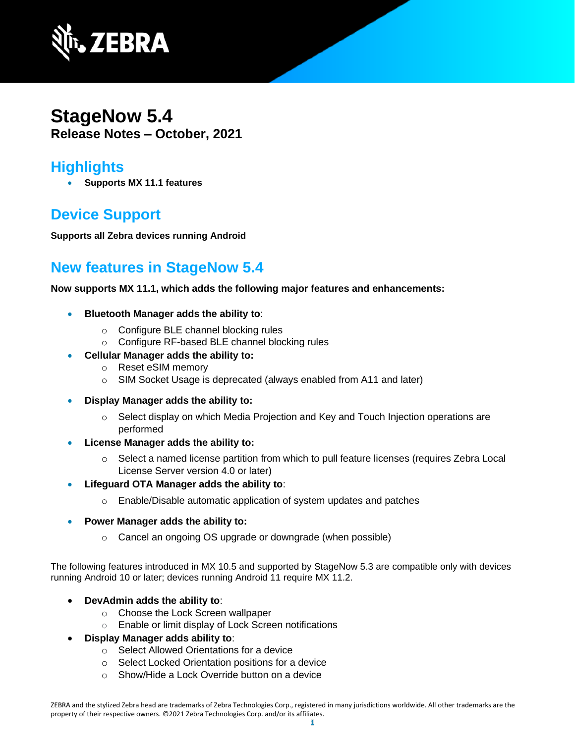

## **StageNow 5.4 Release Notes – October, 2021**

#### **Highlights**

• **Supports MX 11.1 features**

# **Device Support**

**Supports all Zebra devices running Android**

## **New features in StageNow 5.4**

**Now supports MX 11.1, which adds the following major features and enhancements:**

- **Bluetooth Manager adds the ability to**:
	- o Configure BLE channel blocking rules
	- o Configure RF-based BLE channel blocking rules
- **Cellular Manager adds the ability to:**
	- o Reset eSIM memory
	- o SIM Socket Usage is deprecated (always enabled from A11 and later)
- **Display Manager adds the ability to:**
	- $\circ$  Select display on which Media Projection and Key and Touch Injection operations are performed
- **License Manager adds the ability to:**
	- o Select a named license partition from which to pull feature licenses (requires Zebra Local License Server version 4.0 or later)
- **Lifeguard OTA Manager adds the ability to**:
	- o Enable/Disable automatic application of system updates and patches
- **Power Manager adds the ability to:**
	- o Cancel an ongoing OS upgrade or downgrade (when possible)

The following features introduced in MX 10.5 and supported by StageNow 5.3 are compatible only with devices running Android 10 or later; devices running Android 11 require MX 11.2.

- **DevAdmin adds the ability to**:
	- o Choose the Lock Screen wallpaper
	- o Enable or limit display of Lock Screen notifications
- **Display Manager adds ability to**:
	- o Select Allowed Orientations for a device
	- o Select Locked Orientation positions for a device
	- o Show/Hide a Lock Override button on a device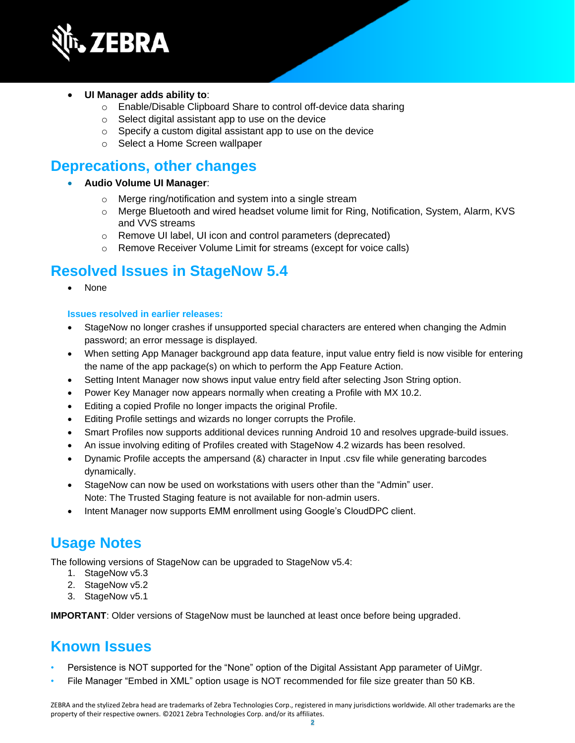

#### • **UI Manager adds ability to**:

- o Enable/Disable Clipboard Share to control off-device data sharing
- o Select digital assistant app to use on the device
- o Specify a custom digital assistant app to use on the device
- o Select a Home Screen wallpaper

#### **Deprecations, other changes**

- **Audio Volume UI Manager**:
	- o Merge ring/notification and system into a single stream
	- o Merge Bluetooth and wired headset volume limit for Ring, Notification, System, Alarm, KVS and VVS streams
	- o Remove UI label, UI icon and control parameters (deprecated)
	- o Remove Receiver Volume Limit for streams (except for voice calls)

#### **Resolved Issues in StageNow 5.4**

• None

#### **Issues resolved in earlier releases:**

- StageNow no longer crashes if unsupported special characters are entered when changing the Admin password; an error message is displayed.
- When setting App Manager background app data feature, input value entry field is now visible for entering the name of the app package(s) on which to perform the App Feature Action.
- Setting Intent Manager now shows input value entry field after selecting Json String option.
- Power Key Manager now appears normally when creating a Profile with MX 10.2.
- Editing a copied Profile no longer impacts the original Profile.
- Editing Profile settings and wizards no longer corrupts the Profile.
- Smart Profiles now supports additional devices running Android 10 and resolves upgrade-build issues.
- An issue involving editing of Profiles created with StageNow 4.2 wizards has been resolved.
- Dynamic Profile accepts the ampersand (&) character in Input .csv file while generating barcodes dynamically.
- StageNow can now be used on workstations with users other than the "Admin" user. Note: The Trusted Staging feature is not available for non-admin users.
- Intent Manager now supports EMM enrollment using Google's CloudDPC client.

## **Usage Notes**

The following versions of StageNow can be upgraded to StageNow v5.4:

- 1. StageNow v5.3
- 2. StageNow v5.2
- 3. StageNow v5.1

**IMPORTANT**: Older versions of StageNow must be launched at least once before being upgraded.

## **Known Issues**

- Persistence is NOT supported for the "None" option of the Digital Assistant App parameter of UiMgr.
- File Manager "Embed in XML" option usage is NOT recommended for file size greater than 50 KB.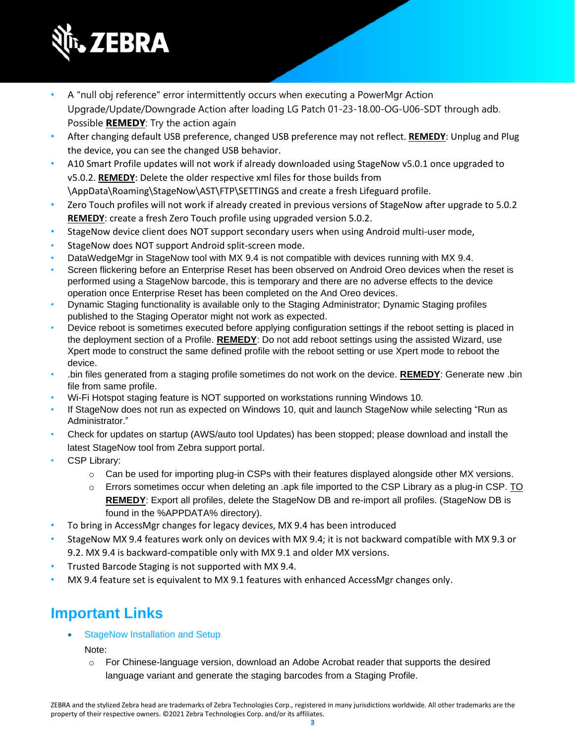

- A "null obj reference" error intermittently occurs when executing a PowerMgr Action Upgrade/Update/Downgrade Action after loading LG Patch 01-23-18.00-OG-U06-SDT through adb. Possible **REMEDY**: Try the action again
- After changing default USB preference, changed USB preference may not reflect. **REMEDY**: Unplug and Plug the device, you can see the changed USB behavior.
- A10 Smart Profile updates will not work if already downloaded using StageNow v5.0.1 once upgraded to v5.0.2. **REMEDY**: Delete the older respective xml files for those builds from \AppData\Roaming\StageNow\AST\FTP\SETTINGS and create a fresh Lifeguard profile.
- Zero Touch profiles will not work if already created in previous versions of StageNow after upgrade to 5.0.2 **REMEDY**: create a fresh Zero Touch profile using upgraded version 5.0.2.
- StageNow device client does NOT support secondary users when using Android multi-user mode,
- StageNow does NOT support Android split-screen mode.
- DataWedgeMgr in StageNow tool with MX 9.4 is not compatible with devices running with MX 9.4.
- Screen flickering before an Enterprise Reset has been observed on Android Oreo devices when the reset is performed using a StageNow barcode, this is temporary and there are no adverse effects to the device operation once Enterprise Reset has been completed on the And Oreo devices.
- Dynamic Staging functionality is available only to the Staging Administrator; Dynamic Staging profiles published to the Staging Operator might not work as expected.
- Device reboot is sometimes executed before applying configuration settings if the reboot setting is placed in the deployment section of a Profile. **REMEDY**: Do not add reboot settings using the assisted Wizard, use Xpert mode to construct the same defined profile with the reboot setting or use Xpert mode to reboot the device.
- .bin files generated from a staging profile sometimes do not work on the device. **REMEDY**: Generate new .bin file from same profile.
- Wi-Fi Hotspot staging feature is NOT supported on workstations running Windows 10.
- If StageNow does not run as expected on Windows 10, quit and launch StageNow while selecting "Run as Administrator."
- Check for updates on startup (AWS/auto tool Updates) has been stopped; please download and install the latest StageNow tool from Zebra support portal.
- CSP Library:
	- o Can be used for importing plug-in CSPs with their features displayed alongside other MX versions.
	- $\circ$  Errors sometimes occur when deleting an .apk file imported to the CSP Library as a plug-in CSP. TO **REMEDY**: Export all profiles, delete the StageNow DB and re-import all profiles. (StageNow DB is found in the %APPDATA% directory).
- To bring in AccessMgr changes for legacy devices, MX 9.4 has been introduced
- StageNow MX 9.4 features work only on devices with MX 9.4; it is not backward compatible with MX 9.3 or 9.2. MX 9.4 is backward-compatible only with MX 9.1 and older MX versions.
- Trusted Barcode Staging is not supported with MX 9.4.
- MX 9.4 feature set is equivalent to MX 9.1 features with enhanced AccessMgr changes only.

## **Important Link[s](http://techdocs.zebra.com/stagenow/)**

[StageNow Installation and Setup](http://techdocs.zebra.com/stagenow/latest/installing/)

Note:

o For Chinese-language version, download an Adobe Acrobat reader that supports the desired language variant and generate the staging barcodes from a Staging Profile.